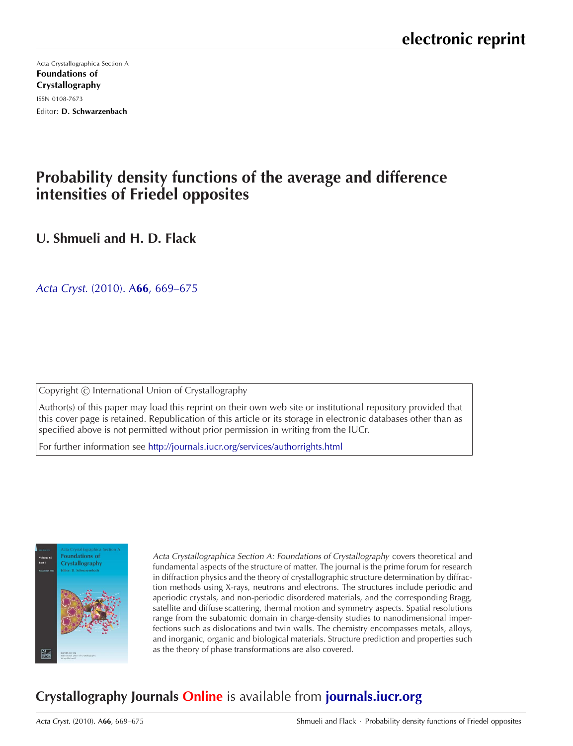[Acta Crystallographica Section A](http://journals.iucr.org/a/) Foundations of Crystallography ISSN 0108-7673 Editor: D. Schwarzenbach

# **Probability density functions of the average and difference intensities of Friedel opposites**

**U. Shmueli and H. D. Flack**

Acta Cryst. (2010). A**66**[, 669–675](http://dx.doi.org/10.1107/S0108767310035920)

Copyright © International Union of Crystallography

Author(s) of this paper may load this reprint on their own web site or institutional repository provided that this cover page is retained. Republication of this article or its storage in electronic databases other than as specified above is not permitted without prior permission in writing from the IUCr.

For further information see <http://journals.iucr.org/services/authorrights.html>



Acta Crystallographica Section A: Foundations of Crystallography covers theoretical and fundamental aspects of the structure of matter. The journal is the prime forum for research in diffraction physics and the theory of crystallographic structure determination by diffraction methods using X-rays, neutrons and electrons. The structures include periodic and aperiodic crystals, and non-periodic disordered materials, and the corresponding Bragg, satellite and diffuse scattering, thermal motion and symmetry aspects. Spatial resolutions range from the subatomic domain in charge-density studies to nanodimensional imperfections such as dislocations and twin walls. The chemistry encompasses metals, alloys, and inorganic, organic and biological materials. Structure prediction and properties such as the theory of phase transformations are also covered.

# **Crystallography Journals Online** is available from **[journals.iucr.org](http://journals.iucr.org)**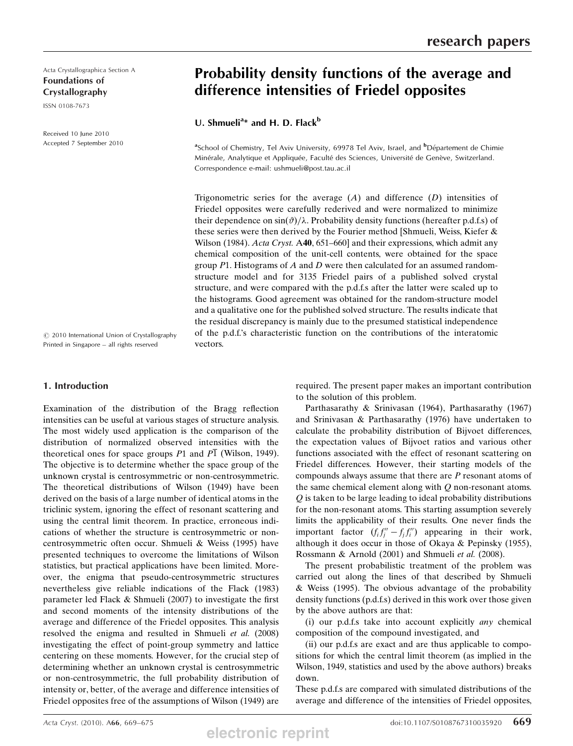Acta Crystallographica Section A Foundations of Crystallography

ISSN 0108-7673

Received 10 June 2010 Accepted 7 September 2010

# Probability density functions of the average and difference intensities of Friedel opposites

U. Shmueli<sup>a\*</sup> and H. D. Flack<sup>b</sup>

<sup>a</sup>School of Chemistry, Tel Aviv University, 69978 Tel Aviv, Israel, and <sup>b</sup>Département de Chimie Minérale, Analytique et Appliquée, Faculté des Sciences, Université de Genève, Switzerland. Correspondence e-mail: ushmueli@post.tau.ac.il

Trigonometric series for the average  $(A)$  and difference  $(D)$  intensities of Friedel opposites were carefully rederived and were normalized to minimize their dependence on  $\sin(\vartheta)/\lambda$ . Probability density functions (hereafter p.d.f.s) of these series were then derived by the Fourier method [Shmueli, Weiss, Kiefer & Wilson (1984). Acta Cryst. A40, 651–660] and their expressions, which admit any chemical composition of the unit-cell contents, were obtained for the space group  $P1$ . Histograms of A and D were then calculated for an assumed randomstructure model and for 3135 Friedel pairs of a published solved crystal structure, and were compared with the p.d.f.s after the latter were scaled up to the histograms. Good agreement was obtained for the random-structure model and a qualitative one for the published solved structure. The results indicate that the residual discrepancy is mainly due to the presumed statistical independence of the p.d.f.'s characteristic function on the contributions of the interatomic vectors.

 $\odot$  2010 International Union of Crystallography Printed in Singapore – all rights reserved

## 1. Introduction

Examination of the distribution of the Bragg reflection intensities can be useful at various stages of structure analysis. The most widely used application is the comparison of the distribution of normalized observed intensities with the theoretical ones for space groups  $P1$  and  $P1$  (Wilson, 1949). The objective is to determine whether the space group of the unknown crystal is centrosymmetric or non-centrosymmetric. The theoretical distributions of Wilson (1949) have been derived on the basis of a large number of identical atoms in the triclinic system, ignoring the effect of resonant scattering and using the central limit theorem. In practice, erroneous indications of whether the structure is centrosymmetric or noncentrosymmetric often occur. Shmueli & Weiss (1995) have presented techniques to overcome the limitations of Wilson statistics, but practical applications have been limited. Moreover, the enigma that pseudo-centrosymmetric structures nevertheless give reliable indications of the Flack (1983) parameter led Flack & Shmueli (2007) to investigate the first and second moments of the intensity distributions of the average and difference of the Friedel opposites. This analysis resolved the enigma and resulted in Shmueli et al. (2008) investigating the effect of point-group symmetry and lattice centering on these moments. However, for the crucial step of determining whether an unknown crystal is centrosymmetric or non-centrosymmetric, the full probability distribution of intensity or, better, of the average and difference intensities of Friedel opposites free of the assumptions of Wilson (1949) are

required. The present paper makes an important contribution to the solution of this problem.

Parthasarathy & Srinivasan (1964), Parthasarathy (1967) and Srinivasan & Parthasarathy (1976) have undertaken to calculate the probability distribution of Bijvoet differences, the expectation values of Bijvoet ratios and various other functions associated with the effect of resonant scattering on Friedel differences. However, their starting models of the compounds always assume that there are  $P$  resonant atoms of the same chemical element along with Q non-resonant atoms. Q is taken to be large leading to ideal probability distributions for the non-resonant atoms. This starting assumption severely limits the applicability of their results. One never finds the important factor  $(f_i f_j'' - f_j f_i'')$  appearing in their work, although it does occur in those of Okaya & Pepinsky (1955), Rossmann & Arnold (2001) and Shmueli et al. (2008).

The present probabilistic treatment of the problem was carried out along the lines of that described by Shmueli & Weiss (1995). The obvious advantage of the probability density functions (p.d.f.s) derived in this work over those given by the above authors are that:

(i) our p.d.f.s take into account explicitly any chemical composition of the compound investigated, and

(ii) our p.d.f.s are exact and are thus applicable to compositions for which the central limit theorem (as implied in the Wilson, 1949, statistics and used by the above authors) breaks down.

These p.d.f.s are compared with simulated distributions of the average and difference of the intensities of Friedel opposites,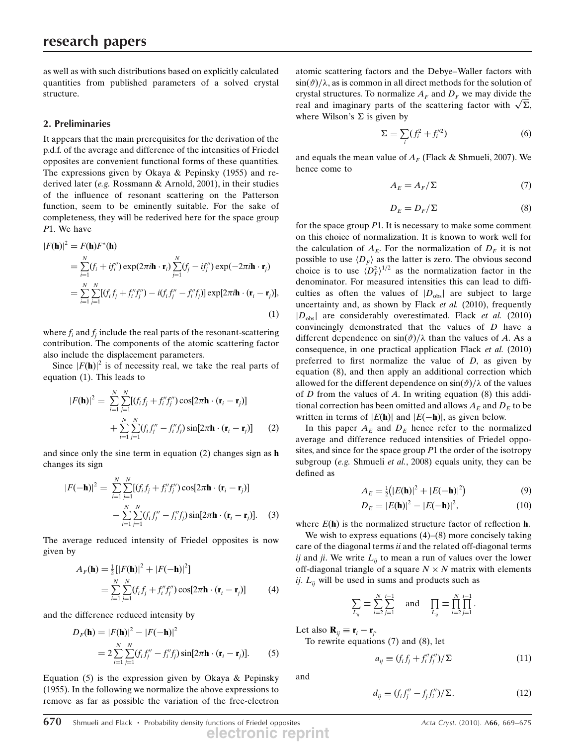as well as with such distributions based on explicitly calculated quantities from published parameters of a solved crystal structure.

# 2. Preliminaries

It appears that the main prerequisites for the derivation of the p.d.f. of the average and difference of the intensities of Friedel opposites are convenient functional forms of these quantities. The expressions given by Okaya & Pepinsky (1955) and rederived later (e.g. Rossmann & Arnold, 2001), in their studies of the influence of resonant scattering on the Patterson function, seem to be eminently suitable. For the sake of completeness, they will be rederived here for the space group P1. We have

$$
|F(\mathbf{h})|^2 = F(\mathbf{h})F^*(\mathbf{h})
$$
  
\n
$$
= \sum_{i=1}^N (f_i + if_i'') \exp(2\pi i \mathbf{h} \cdot \mathbf{r}_i) \sum_{j=1}^N (f_j - if_j'') \exp(-2\pi i \mathbf{h} \cdot \mathbf{r}_j)
$$
  
\n
$$
= \sum_{i=1}^N \sum_{j=1}^N [(f_i f_j + f_i'' f_j'') - i(f_i f_j'' - f_i'' f_j)] \exp[2\pi i \mathbf{h} \cdot (\mathbf{r}_i - \mathbf{r}_j)],
$$
  
\n(1)

where  $f_i$  and  $f_j$  include the real parts of the resonant-scattering contribution. The components of the atomic scattering factor also include the displacement parameters.

Since  $|F(\mathbf{h})|^2$  is of necessity real, we take the real parts of equation (1). This leads to

$$
|F(\mathbf{h})|^2 = \sum_{i=1}^N \sum_{j=1}^N [(f_i f_j + f_i'' f_j'') \cos[2\pi \mathbf{h} \cdot (\mathbf{r}_i - \mathbf{r}_j)]
$$
  
+ 
$$
\sum_{i=1}^N \sum_{j=1}^N (f_i f_j'' - f_i'' f_j) \sin[2\pi \mathbf{h} \cdot (\mathbf{r}_i - \mathbf{r}_j)]
$$
 (2)

and since only the sine term in equation (2) changes sign as h changes its sign

$$
|F(-\mathbf{h})|^2 = \sum_{i=1}^N \sum_{j=1}^N [(f_i f_j + f_i'' f_j'') \cos[2\pi \mathbf{h} \cdot (\mathbf{r}_i - \mathbf{r}_j)]
$$
  

$$
- \sum_{i=1}^N \sum_{j=1}^N (f_i f_j'' - f_i'' f_j) \sin[2\pi \mathbf{h} \cdot (\mathbf{r}_i - \mathbf{r}_j)].
$$
 (3)

The average reduced intensity of Friedel opposites is now given by

$$
A_F(\mathbf{h}) = \frac{1}{2} [ |F(\mathbf{h})|^2 + |F(-\mathbf{h})|^2 ]
$$
  
= 
$$
\sum_{i=1}^N \sum_{j=1}^N (f_i f_j + f_i'' f_j'') \cos[2\pi \mathbf{h} \cdot (\mathbf{r}_i - \mathbf{r}_j)]
$$
 (4)

and the difference reduced intensity by

$$
D_F(\mathbf{h}) = |F(\mathbf{h})|^2 - |F(-\mathbf{h})|^2
$$
  
= 
$$
2 \sum_{i=1}^{N} \sum_{j=1}^{N} (f_i f_j'' - f_i'' f_j) \sin[2\pi \mathbf{h} \cdot (\mathbf{r}_i - \mathbf{r}_j)].
$$
 (5)

Equation (5) is the expression given by Okaya & Pepinsky (1955). In the following we normalize the above expressions to remove as far as possible the variation of the free-electron atomic scattering factors and the Debye–Waller factors with  $\sin(\vartheta)/\lambda$ , as is common in all direct methods for the solution of crystal structures. To normalize  $A_F$  and  $D_F$  we may divide the real and imaginary parts of the scattering factor with  $\sqrt{\Sigma}$ , where Wilson's  $\Sigma$  is given by

$$
\Sigma = \sum_{i} (f_i^2 + f_i'^2) \tag{6}
$$

and equals the mean value of  $A_F$  (Flack & Shmueli, 2007). We hence come to

$$
A_E = A_F / \Sigma \tag{7}
$$

$$
D_E = D_F / \Sigma \tag{8}
$$

for the space group  $P1$ . It is necessary to make some comment on this choice of normalization. It is known to work well for the calculation of  $A_E$ . For the normalization of  $D_F$  it is not possible to use  $\langle D_F \rangle$  as the latter is zero. The obvious second choice is to use  $\langle D_F^2 \rangle^{1/2}$  as the normalization factor in the denominator. For measured intensities this can lead to difficulties as often the values of  $|D_{obs}|$  are subject to large uncertainty and, as shown by Flack et al. (2010), frequently  $|D_{\text{obs}}|$  are considerably overestimated. Flack *et al.* (2010) convincingly demonstrated that the values of D have a different dependence on  $\sin(\theta)/\lambda$  than the values of A. As a consequence, in one practical application Flack et al. (2010) preferred to first normalize the value of  $D$ , as given by equation (8), and then apply an additional correction which allowed for the different dependence on  $\sin(\vartheta)/\lambda$  of the values of  $D$  from the values of  $A$ . In writing equation  $(8)$  this additional correction has been omitted and allows  $A_E$  and  $D_E$  to be written in terms of  $|E(\mathbf{h})|$  and  $|E(-\mathbf{h})|$ , as given below.

In this paper  $A_E$  and  $D_E$  hence refer to the normalized average and difference reduced intensities of Friedel opposites, and since for the space group  $P1$  the order of the isotropy subgroup (e.g. Shmueli et al., 2008) equals unity, they can be defined as

$$
A_E = \frac{1}{2} (|E(\mathbf{h})|^2 + |E(-\mathbf{h})|^2)
$$
\n(9)

$$
D_E = |E(\mathbf{h})|^2 - |E(-\mathbf{h})|^2, \tag{10}
$$

where  $E(\mathbf{h})$  is the normalized structure factor of reflection  $\mathbf{h}$ .

We wish to express equations  $(4)$ – $(8)$  more concisely taking care of the diagonal terms *ii* and the related off-diagonal terms ij and ji. We write  $L_{ii}$  to mean a run of values over the lower off-diagonal triangle of a square  $N \times N$  matrix with elements ij.  $L_{ii}$  will be used in sums and products such as

$$
\sum_{L_{ij}} \equiv \sum_{i=2}^{N} \sum_{j=1}^{i-1}
$$
 and 
$$
\prod_{L_{ij}} \equiv \prod_{i=2}^{N} \prod_{j=1}^{i-1}.
$$

Let also  $\mathbf{R}_{ij} \equiv \mathbf{r}_i - \mathbf{r}_j$ .

To rewrite equations (7) and (8), let

$$
a_{ij} \equiv (f_i f_j + f_i'' f_j'') / \Sigma \tag{11}
$$

and

$$
d_{ij} \equiv (f_i f_j'' - f_j f_i'') / \Sigma. \tag{12}
$$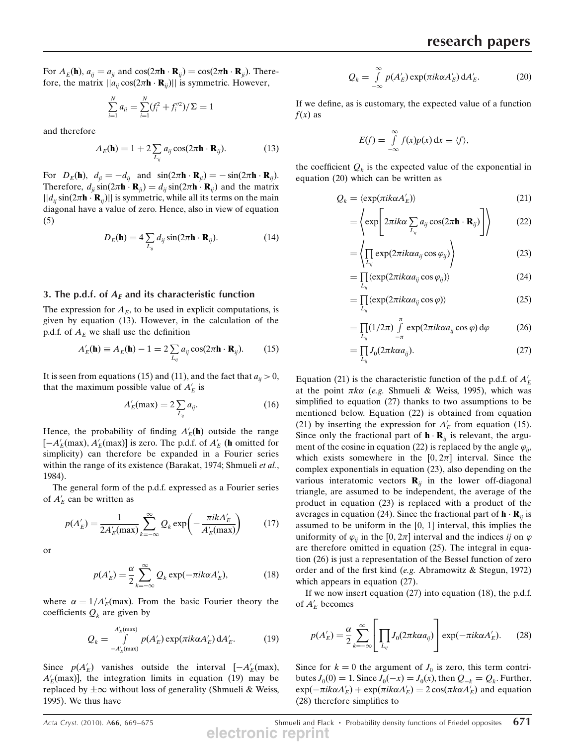For  $A_E(\mathbf{h})$ ,  $a_{ij} = a_{ji}$  and  $\cos(2\pi \mathbf{h} \cdot \mathbf{R}_{ij}) = \cos(2\pi \mathbf{h} \cdot \mathbf{R}_{ji})$ . Therefore, the matrix  $||a_{ij} \cos(2\pi \mathbf{h} \cdot \mathbf{R}_{ij})||$  is symmetric. However,

$$
\sum_{i=1}^{N} a_{ii} = \sum_{i=1}^{N} (f_i^2 + f_i'^2) / \Sigma = 1
$$

and therefore

$$
A_E(\mathbf{h}) = 1 + 2 \sum_{L_{ij}} a_{ij} \cos(2\pi \mathbf{h} \cdot \mathbf{R}_{ij}).
$$
 (13)

For  $D_E(\mathbf{h})$ ,  $d_{ji} = -d_{ij}$  and  $\sin(2\pi \mathbf{h} \cdot \mathbf{R}_{ji}) = -\sin(2\pi \mathbf{h} \cdot \mathbf{R}_{ij}).$ Therefore,  $d_{ii}$  sin $(2\pi \mathbf{h} \cdot \mathbf{R}_{ii}) = d_{ii}$  sin $(2\pi \mathbf{h} \cdot \mathbf{R}_{ii})$  and the matrix  $||d_{ii} \sin(2\pi \mathbf{h} \cdot \mathbf{R}_{ii})||$  is symmetric, while all its terms on the main diagonal have a value of zero. Hence, also in view of equation (5)

$$
D_E(\mathbf{h}) = 4 \sum_{L_{ij}} d_{ij} \sin(2\pi \mathbf{h} \cdot \mathbf{R}_{ij}).
$$
 (14)

#### 3. The p.d.f. of  $A_F$  and its characteristic function

The expression for  $A<sub>E</sub>$ , to be used in explicit computations, is given by equation (13). However, in the calculation of the p.d.f. of  $A<sub>E</sub>$  we shall use the definition

$$
A'_E(\mathbf{h}) \equiv A_E(\mathbf{h}) - 1 = 2 \sum_{L_{ij}} a_{ij} \cos(2\pi \mathbf{h} \cdot \mathbf{R}_{ij}).
$$
 (15)

It is seen from equations (15) and (11), and the fact that  $a_{ii} > 0$ , that the maximum possible value of  $A'_E$  is

$$
A'_E(\max) = 2 \sum_{L_{ij}} a_{ij}.\tag{16}
$$

Hence, the probability of finding  $A'_E(\mathbf{h})$  outside the range  $[-A'_E(\text{max}), A'_E(\text{max})]$  is zero. The p.d.f. of  $A'_E$  (**h** omitted for simplicity) can therefore be expanded in a Fourier series within the range of its existence (Barakat, 1974; Shmueli et al., 1984).

The general form of the p.d.f. expressed as a Fourier series of  $A'_E$  can be written as

$$
p(A'_E) = \frac{1}{2A'_E(\text{max})} \sum_{k=-\infty}^{\infty} Q_k \exp\left(-\frac{\pi i k A'_E}{A'_E(\text{max})}\right) \tag{17}
$$

or

$$
p(A'_E) = \frac{\alpha}{2} \sum_{k=-\infty}^{\infty} Q_k \exp(-\pi i k \alpha A'_E),
$$
 (18)

where  $\alpha = 1/A'_E$ (max). From the basic Fourier theory the coefficients  $Q_k$  are given by

$$
Q_k = \int_{-A'_E(\text{max})}^{A'_E(\text{max})} p(A'_E) \exp(\pi i k \alpha A'_E) dA'_E.
$$
 (19)

Since  $p(A'_E)$  vanishes outside the interval  $[-A'_E$ (max),  $A'_E$ (max)], the integration limits in equation (19) may be replaced by  $\pm \infty$  without loss of generality (Shmueli & Weiss, 1995). We thus have

$$
Q_k = \int_{-\infty}^{\infty} p(A'_E) \exp(\pi i k \alpha A'_E) dA'_E.
$$
 (20)

If we define, as is customary, the expected value of a function  $f(x)$  as

$$
E(f) = \int_{-\infty}^{\infty} f(x)p(x) \, \mathrm{d}x \equiv \langle f \rangle,
$$

the coefficient  $Q_k$  is the expected value of the exponential in equation (20) which can be written as

$$
Q_k = \langle \exp(\pi i k \alpha A'_E) \rangle \tag{21}
$$

$$
= \left\langle \exp \left[ 2\pi i k \alpha \sum_{L_{ij}} a_{ij} \cos(2\pi \mathbf{h} \cdot \mathbf{R}_{ij}) \right] \right\rangle \tag{22}
$$

$$
= \left\langle \prod_{L_{ij}} \exp(2\pi i k \alpha a_{ij} \cos \varphi_{ij}) \right\rangle \tag{23}
$$

$$
= \prod_{L_{ij}} \langle \exp(2\pi i k \alpha a_{ij} \cos \varphi_{ij}) \rangle \tag{24}
$$

$$
= \prod_{L_{ij}} \langle \exp(2\pi i k \alpha a_{ij} \cos \varphi) \rangle \tag{25}
$$

$$
= \prod_{L_{ij}} (1/2\pi) \int_{-\pi}^{\pi} \exp(2\pi i k \alpha a_{ij} \cos \varphi) d\varphi
$$
 (26)

$$
=\prod_{L_{ij}}J_0(2\pi k\alpha a_{ij}).
$$
\n(27)

Equation (21) is the characteristic function of the p.d.f. of  $A'_E$ at the point  $\pi k \alpha$  (e.g. Shmueli & Weiss, 1995), which was simplified to equation (27) thanks to two assumptions to be mentioned below. Equation (22) is obtained from equation (21) by inserting the expression for  $A'_E$  from equation (15). Since only the fractional part of  $\mathbf{h} \cdot \mathbf{R}_{ij}$  is relevant, the argument of the cosine in equation (22) is replaced by the angle  $\varphi_{ii}$ , which exists somewhere in the  $[0, 2\pi]$  interval. Since the complex exponentials in equation (23), also depending on the various interatomic vectors  $\mathbf{R}_{ij}$  in the lower off-diagonal triangle, are assumed to be independent, the average of the product in equation (23) is replaced with a product of the averages in equation (24). Since the fractional part of  $\mathbf{h} \cdot \mathbf{R}_{ii}$  is assumed to be uniform in the [0, 1] interval, this implies the uniformity of  $\varphi_{ii}$  in the [0, 2 $\pi$ ] interval and the indices *ij* on  $\varphi$ are therefore omitted in equation (25). The integral in equation (26) is just a representation of the Bessel function of zero order and of the first kind (e.g. Abramowitz & Stegun, 1972) which appears in equation (27).

If we now insert equation (27) into equation (18), the p.d.f. of  $A'_E$  becomes

$$
p(A'_E) = \frac{\alpha}{2} \sum_{k=-\infty}^{\infty} \left[ \prod_{L_{ij}} J_0(2\pi k \alpha a_{ij}) \right] \exp(-\pi i k \alpha A'_E). \tag{28}
$$

Since for  $k = 0$  the argument of  $J_0$  is zero, this term contributes  $J_0(0) = 1$ . Since  $J_0(-x) = J_0(x)$ , then  $Q_{-k} = Q_k$ . Further,  $\exp(-\pi i k \alpha A_E') + \exp(\pi i k \alpha A_E') = 2 \cos(\pi k \alpha A_E')$  and equation (28) therefore simplifies to

Acta Cryst. (2010). A66, 669–675 Shmueli and Flack  $\cdot$  Probability density functions of Friedel opposites 671 **electronic reprint**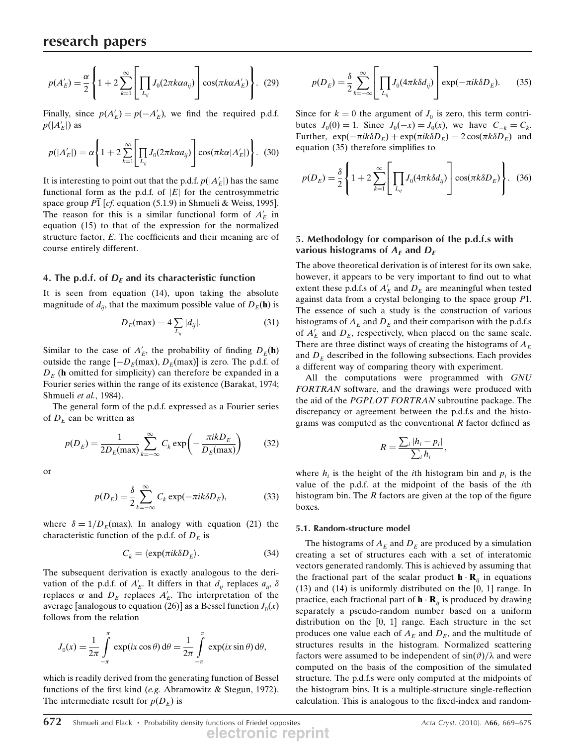$$
p(A'_E) = \frac{\alpha}{2} \left\{ 1 + 2 \sum_{k=1}^{\infty} \left[ \prod_{L_{ij}} J_0(2\pi k \alpha a_{ij}) \right] \cos(\pi k \alpha A'_E) \right\}.
$$
 (29)

Finally, since  $p(A'_E) = p(-A'_E)$ , we find the required p.d.f.  $p(|A'_E|)$  as

$$
p(|A'_E|) = \alpha \left\{ 1 + 2 \sum_{k=1}^{\infty} \left[ \prod_{L_{ij}} J_0(2\pi k \alpha a_{ij}) \right] \cos(\pi k \alpha |A'_E|) \right\}.
$$
 (30)

It is interesting to point out that the p.d.f.  $p(|A'_E|)$  has the same functional form as the p.d.f. of  $|E|$  for the centrosymmetric space group P1 [cf. equation (5.1.9) in Shmueli & Weiss, 1995]. The reason for this is a similar functional form of  $A'_E$  in equation (15) to that of the expression for the normalized structure factor, E. The coefficients and their meaning are of course entirely different.

### 4. The p.d.f. of  $D<sub>F</sub>$  and its characteristic function

It is seen from equation (14), upon taking the absolute magnitude of  $d_{ii}$ , that the maximum possible value of  $D_E(\mathbf{h})$  is

$$
D_E(\max) = 4 \sum_{L_{ij}} |d_{ij}|.
$$
 (31)

Similar to the case of  $A'_E$ , the probability of finding  $D_E(\mathbf{h})$ outside the range  $[-D_E(\text{max}), D_E(\text{max})]$  is zero. The p.d.f. of  $D<sub>E</sub>$  (h omitted for simplicity) can therefore be expanded in a Fourier series within the range of its existence (Barakat, 1974; Shmueli et al., 1984).

The general form of the p.d.f. expressed as a Fourier series of  $D<sub>E</sub>$  can be written as

$$
p(D_E) = \frac{1}{2D_E(\text{max})} \sum_{k=-\infty}^{\infty} C_k \exp\left(-\frac{\pi i k D_E}{D_E(\text{max})}\right) \tag{32}
$$

or

$$
p(D_E) = \frac{\delta}{2} \sum_{k=-\infty}^{\infty} C_k \exp(-\pi i k \delta D_E),
$$
 (33)

where  $\delta = 1/D_E(\text{max})$ . In analogy with equation (21) the characteristic function of the p.d.f. of  $D<sub>E</sub>$  is

$$
C_k = \langle \exp(\pi ik \delta D_E). \tag{34}
$$

The subsequent derivation is exactly analogous to the derivation of the p.d.f. of  $A'_E$ . It differs in that  $d_{ij}$  replaces  $a_{ij}$ ,  $\delta$ replaces  $\alpha$  and  $D_E$  replaces  $A'_E$ . The interpretation of the average [analogous to equation (26)] as a Bessel function  $J_0(x)$ follows from the relation

$$
J_0(x) = \frac{1}{2\pi} \int_{-\pi}^{\pi} \exp(ix \cos \theta) d\theta = \frac{1}{2\pi} \int_{-\pi}^{\pi} \exp(ix \sin \theta) d\theta,
$$

which is readily derived from the generating function of Bessel functions of the first kind (e.g. Abramowitz & Stegun, 1972). The intermediate result for  $p(D<sub>E</sub>)$  is

$$
p(D_E) = \frac{\delta}{2} \sum_{k=-\infty}^{\infty} \left[ \prod_{L_{ij}} J_0(4\pi k \delta d_{ij}) \right] \exp(-\pi i k \delta D_E). \tag{35}
$$

Since for  $k = 0$  the argument of  $J_0$  is zero, this term contributes  $J_0(0) = 1$ . Since  $J_0(-x) = J_0(x)$ , we have  $C_{-k} = C_k$ . Further,  $\exp(-\pi i k \delta D_E) + \exp(\pi i k \delta D_E) = 2 \cos(\pi k \delta D_E)$  and equation (35) therefore simplifies to

$$
p(D_E) = \frac{\delta}{2} \left\{ 1 + 2 \sum_{k=1}^{\infty} \left[ \prod_{L_{ij}} J_0(4\pi k \delta d_{ij}) \right] \cos(\pi k \delta D_E) \right\}.
$$
 (36)

## 5. Methodology for comparison of the p.d.f.s with various histograms of  $A_F$  and  $D_F$

The above theoretical derivation is of interest for its own sake, however, it appears to be very important to find out to what extent these p.d.f.s of  $A'_E$  and  $D_E$  are meaningful when tested against data from a crystal belonging to the space group P1. The essence of such a study is the construction of various histograms of  $A_E$  and  $D_E$  and their comparison with the p.d.f.s of  $A'_E$  and  $D_E$ , respectively, when placed on the same scale. There are three distinct ways of creating the histograms of  $A<sub>E</sub>$ and  $D<sub>E</sub>$  described in the following subsections. Each provides a different way of comparing theory with experiment.

All the computations were programmed with GNU FORTRAN software, and the drawings were produced with the aid of the PGPLOT FORTRAN subroutine package. The discrepancy or agreement between the p.d.f.s and the histograms was computed as the conventional  $R$  factor defined as

$$
R=\frac{\sum_i |h_i-p_i|}{\sum_i h_i},
$$

where  $h_i$  is the height of the *i*th histogram bin and  $p_i$  is the value of the p.d.f. at the midpoint of the basis of the ith histogram bin. The  $R$  factors are given at the top of the figure boxes.

#### 5.1. Random-structure model

The histograms of  $A_E$  and  $D_E$  are produced by a simulation creating a set of structures each with a set of interatomic vectors generated randomly. This is achieved by assuming that the fractional part of the scalar product  $\mathbf{h} \cdot \mathbf{R}_{ii}$  in equations (13) and (14) is uniformly distributed on the [0, 1] range. In practice, each fractional part of  $\mathbf{h} \cdot \mathbf{R}_{ii}$  is produced by drawing separately a pseudo-random number based on a uniform distribution on the [0, 1] range. Each structure in the set produces one value each of  $A_E$  and  $D_E$ , and the multitude of structures results in the histogram. Normalized scattering factors were assumed to be independent of  $sin(\theta)/\lambda$  and were computed on the basis of the composition of the simulated structure. The p.d.f.s were only computed at the midpoints of the histogram bins. It is a multiple-structure single-reflection calculation. This is analogous to the fixed-index and random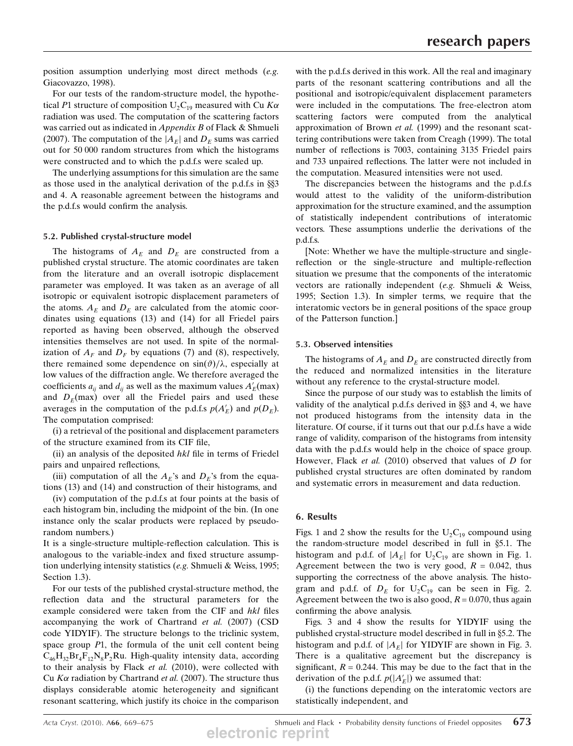position assumption underlying most direct methods (e.g. Giacovazzo, 1998).

For our tests of the random-structure model, the hypothetical P1 structure of composition  $U_2C_{19}$  measured with Cu Ka radiation was used. The computation of the scattering factors was carried out as indicated in *Appendix B* of Flack & Shmueli (2007). The computation of the  $|A_F|$  and  $D_F$  sums was carried out for 50 000 random structures from which the histograms were constructed and to which the p.d.f.s were scaled up.

The underlying assumptions for this simulation are the same as those used in the analytical derivation of the p.d.f.s in  $\S$ and 4. A reasonable agreement between the histograms and the p.d.f.s would confirm the analysis.

#### 5.2. Published crystal-structure model

The histograms of  $A_E$  and  $D_E$  are constructed from a published crystal structure. The atomic coordinates are taken from the literature and an overall isotropic displacement parameter was employed. It was taken as an average of all isotropic or equivalent isotropic displacement parameters of the atoms.  $A_F$  and  $D_F$  are calculated from the atomic coordinates using equations (13) and (14) for all Friedel pairs reported as having been observed, although the observed intensities themselves are not used. In spite of the normalization of  $A_F$  and  $D_F$  by equations (7) and (8), respectively, there remained some dependence on  $\sin(\vartheta)/\lambda$ , especially at low values of the diffraction angle. We therefore averaged the coefficients  $a_{ij}$  and  $d_{ij}$  as well as the maximum values  $A'_E$ (max) and  $D<sub>E</sub>(max)$  over all the Friedel pairs and used these averages in the computation of the p.d.f.s  $p(A'_E)$  and  $p(D_E)$ . The computation comprised:

(i) a retrieval of the positional and displacement parameters of the structure examined from its CIF file,

(ii) an analysis of the deposited  $hkl$  file in terms of Friedel pairs and unpaired reflections,

(iii) computation of all the  $A_E$ 's and  $D_E$ 's from the equations (13) and (14) and construction of their histograms, and

(iv) computation of the p.d.f.s at four points at the basis of each histogram bin, including the midpoint of the bin. (In one instance only the scalar products were replaced by pseudorandom numbers.)

It is a single-structure multiple-reflection calculation. This is analogous to the variable-index and fixed structure assumption underlying intensity statistics (e.g. Shmueli & Weiss, 1995; Section 1.3).

For our tests of the published crystal-structure method, the reflection data and the structural parameters for the example considered were taken from the CIF and hkl files accompanying the work of Chartrand et al. (2007) (CSD code YIDYIF). The structure belongs to the triclinic system, space group  $P1$ , the formula of the unit cell content being  $C_{46}H_{32}Br_{4}F_{12}N_{8}P_{2}Ru$ . High-quality intensity data, according to their analysis by Flack et al. (2010), were collected with Cu  $K\alpha$  radiation by Chartrand *et al.* (2007). The structure thus displays considerable atomic heterogeneity and significant resonant scattering, which justify its choice in the comparison

with the p.d.f.s derived in this work. All the real and imaginary parts of the resonant scattering contributions and all the positional and isotropic/equivalent displacement parameters were included in the computations. The free-electron atom scattering factors were computed from the analytical approximation of Brown et al. (1999) and the resonant scattering contributions were taken from Creagh (1999). The total number of reflections is 7003, containing 3135 Friedel pairs and 733 unpaired reflections. The latter were not included in the computation. Measured intensities were not used.

The discrepancies between the histograms and the p.d.f.s would attest to the validity of the uniform-distribution approximation for the structure examined, and the assumption of statistically independent contributions of interatomic vectors. These assumptions underlie the derivations of the p.d.f.s.

[Note: Whether we have the multiple-structure and singlereflection or the single-structure and multiple-reflection situation we presume that the components of the interatomic vectors are rationally independent (e.g. Shmueli & Weiss, 1995; Section 1.3). In simpler terms, we require that the interatomic vectors be in general positions of the space group of the Patterson function.]

## 5.3. Observed intensities

The histograms of  $A_E$  and  $D_E$  are constructed directly from the reduced and normalized intensities in the literature without any reference to the crystal-structure model.

Since the purpose of our study was to establish the limits of validity of the analytical p.d.f.s derived in  $\S$ 3 and 4, we have not produced histograms from the intensity data in the literature. Of course, if it turns out that our p.d.f.s have a wide range of validity, comparison of the histograms from intensity data with the p.d.f.s would help in the choice of space group. However, Flack et al. (2010) observed that values of D for published crystal structures are often dominated by random and systematic errors in measurement and data reduction.

## 6. Results

Figs. 1 and 2 show the results for the  $U_2C_{19}$  compound using the random-structure model described in full in  $$5.1$ . The histogram and p.d.f. of  $|A_E|$  for  $U_2C_{19}$  are shown in Fig. 1. Agreement between the two is very good,  $R = 0.042$ , thus supporting the correctness of the above analysis. The histogram and p.d.f. of  $D_E$  for  $U_2C_{19}$  can be seen in Fig. 2. Agreement between the two is also good,  $R = 0.070$ , thus again confirming the above analysis.

Figs. 3 and 4 show the results for YIDYIF using the published crystal-structure model described in full in §5.2. The histogram and p.d.f. of  $|A_E|$  for YIDYIF are shown in Fig. 3. There is a qualitative agreement but the discrepancy is significant,  $R = 0.244$ . This may be due to the fact that in the derivation of the p.d.f.  $p(|A'_{E}|)$  we assumed that:

(i) the functions depending on the interatomic vectors are statistically independent, and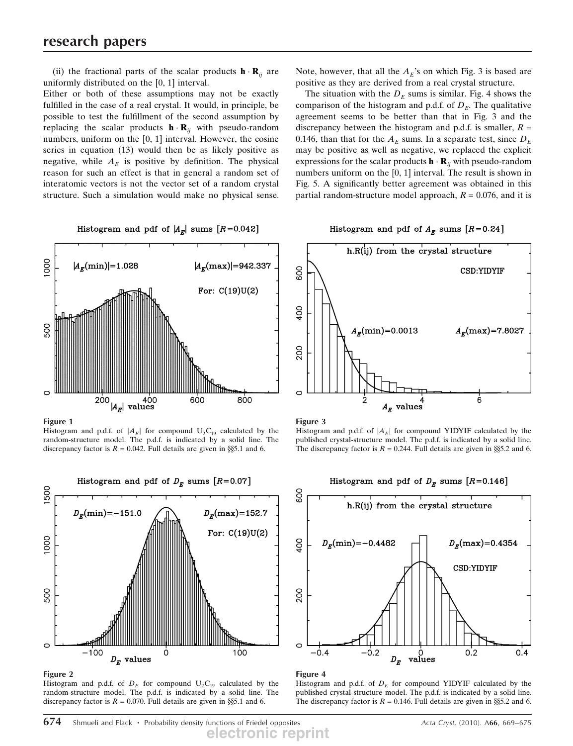(ii) the fractional parts of the scalar products  $\mathbf{h} \cdot \mathbf{R}_{ii}$  are uniformly distributed on the [0, 1] interval.

Either or both of these assumptions may not be exactly fulfilled in the case of a real crystal. It would, in principle, be possible to test the fulfillment of the second assumption by replacing the scalar products  $\mathbf{h} \cdot \mathbf{R}_{ii}$  with pseudo-random numbers, uniform on the [0, 1] interval. However, the cosine series in equation (13) would then be as likely positive as negative, while  $A_F$  is positive by definition. The physical reason for such an effect is that in general a random set of interatomic vectors is not the vector set of a random crystal structure. Such a simulation would make no physical sense.

Histogram and pdf of  $|A_E|$  sums  $[R=0.042]$ 

 $\frac{8}{100}$  $|A_{\bm{r}}(\min)|=1.028$  $|A_{\rm F}(\text{max})|=942.337$ For:  $C(19)U(2)$ 500 200 400 600 800  $|A_E|$  values

Figure 1

Histogram and p.d.f. of  $|A_E|$  for compound  $U_2C_{19}$  calculated by the random-structure model. The p.d.f. is indicated by a solid line. The discrepancy factor is  $R = 0.042$ . Full details are given in §§5.1 and 6.



#### Figure 2

Histogram and p.d.f. of  $D<sub>E</sub>$  for compound  $U<sub>2</sub>C<sub>19</sub>$  calculated by the random-structure model. The p.d.f. is indicated by a solid line. The discrepancy factor is  $R = 0.070$ . Full details are given in §§5.1 and 6.

Note, however, that all the  $A_E$ 's on which Fig. 3 is based are positive as they are derived from a real crystal structure.

The situation with the  $D<sub>E</sub>$  sums is similar. Fig. 4 shows the comparison of the histogram and p.d.f. of  $D<sub>E</sub>$ . The qualitative agreement seems to be better than that in Fig. 3 and the discrepancy between the histogram and p.d.f. is smaller,  $R =$ 0.146, than that for the  $A_F$  sums. In a separate test, since  $D_F$ may be positive as well as negative, we replaced the explicit expressions for the scalar products  $\mathbf{h} \cdot \mathbf{R}_{ii}$  with pseudo-random numbers uniform on the [0, 1] interval. The result is shown in Fig. 5. A significantly better agreement was obtained in this partial random-structure model approach,  $R = 0.076$ , and it is

## Histogram and pdf of  $A_E$  sums  $[R=0.24]$



Figure 3

Histogram and p.d.f. of  $|A_E|$  for compound YIDYIF calculated by the published crystal-structure model. The p.d.f. is indicated by a solid line. The discrepancy factor is  $R = 0.244$ . Full details are given in §§5.2 and 6.



#### Figure 4

Histogram and p.d.f. of  $D<sub>E</sub>$  for compound YIDYIF calculated by the published crystal-structure model. The p.d.f. is indicated by a solid line. The discrepancy factor is  $R = 0.146$ . Full details are given in §§5.2 and 6.